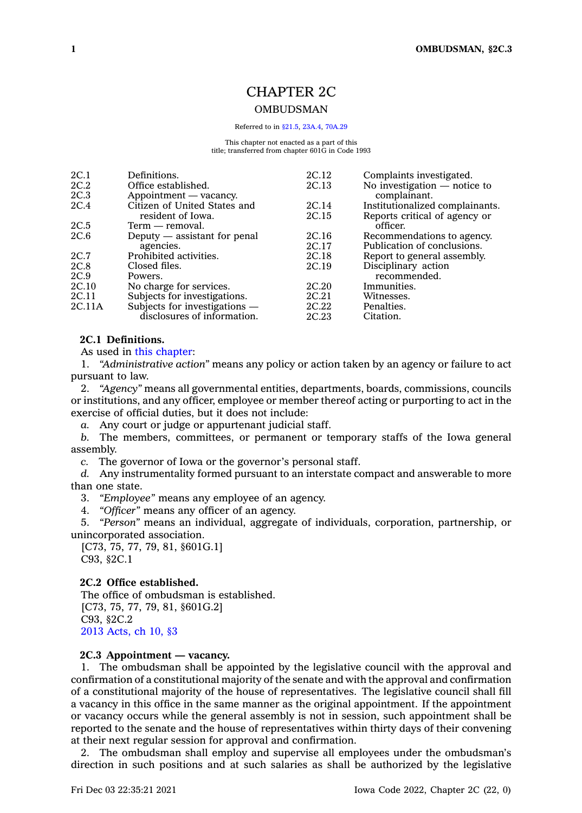# CHAPTER 2C

# **OMBUDSMAN**

Referred to in [§21.5](https://www.legis.iowa.gov/docs/code/21.5.pdf), [23A.4](https://www.legis.iowa.gov/docs/code/23A.4.pdf), [70A.29](https://www.legis.iowa.gov/docs/code/70A.29.pdf)

This chapter not enacted as a part of this title; transferred from chapter 601G in Code 1993

| 2C.1   | Definitions.                  | 2C.12 | Complaints investigated.        |
|--------|-------------------------------|-------|---------------------------------|
| 2C.2   | Office established.           | 2C.13 | No investigation $-$ notice to  |
| 2C.3   | Appointment — vacancy.        |       | complainant.                    |
| 2C.4   | Citizen of United States and  | 2C.14 | Institutionalized complainants. |
|        | resident of Iowa.             | 2C.15 | Reports critical of agency or   |
| 2C.5   | Term — removal.               |       | officer.                        |
| 2C.6   | Deputy — assistant for penal  | 2C.16 | Recommendations to agency.      |
|        | agencies.                     | 2C.17 | Publication of conclusions.     |
| 2C.7   | Prohibited activities.        | 2C.18 | Report to general assembly.     |
| 2C.8   | Closed files.                 | 2C.19 | Disciplinary action             |
| 2C.9   | Powers.                       |       | recommended.                    |
| 2C.10  | No charge for services.       | 2C.20 | Immunities.                     |
| 2C.11  | Subjects for investigations.  | 2C.21 | Witnesses.                      |
| 2C.11A | Subjects for investigations - | 2C.22 | Penalties.                      |
|        | disclosures of information.   | 2C.23 | Citation.                       |
|        |                               |       |                                 |

# **2C.1 Definitions.**

As used in this [chapter](https://www.legis.iowa.gov/docs/code//2C.pdf):

1. *"Administrative action"* means any policy or action taken by an agency or failure to act pursuant to law.

2. *"Agency"* means all governmental entities, departments, boards, commissions, councils or institutions, and any officer, employee or member thereof acting or purporting to act in the exercise of official duties, but it does not include:

*a.* Any court or judge or appurtenant judicial staff.

*b.* The members, committees, or permanent or temporary staffs of the Iowa general assembly.

*c.* The governor of Iowa or the governor's personal staff.

*d.* Any instrumentality formed pursuant to an interstate compact and answerable to more than one state.

3. *"Employee"* means any employee of an agency.

4. *"Officer"* means any officer of an agency.

5. *"Person"* means an individual, aggregate of individuals, corporation, partnership, or unincorporated association.

[C73, 75, 77, 79, 81, §601G.1] C93, §2C.1

### **2C.2 Office established.**

The office of ombudsman is established. [C73, 75, 77, 79, 81, §601G.2] C93, §2C.2 2013 [Acts,](https://www.legis.iowa.gov/docs/acts/2013/CH0010.pdf) ch 10, §3

# **2C.3 Appointment — vacancy.**

1. The ombudsman shall be appointed by the legislative council with the approval and confirmation of <sup>a</sup> constitutional majority of the senate and with the approval and confirmation of <sup>a</sup> constitutional majority of the house of representatives. The legislative council shall fill <sup>a</sup> vacancy in this office in the same manner as the original appointment. If the appointment or vacancy occurs while the general assembly is not in session, such appointment shall be reported to the senate and the house of representatives within thirty days of their convening at their next regular session for approval and confirmation.

2. The ombudsman shall employ and supervise all employees under the ombudsman's direction in such positions and at such salaries as shall be authorized by the legislative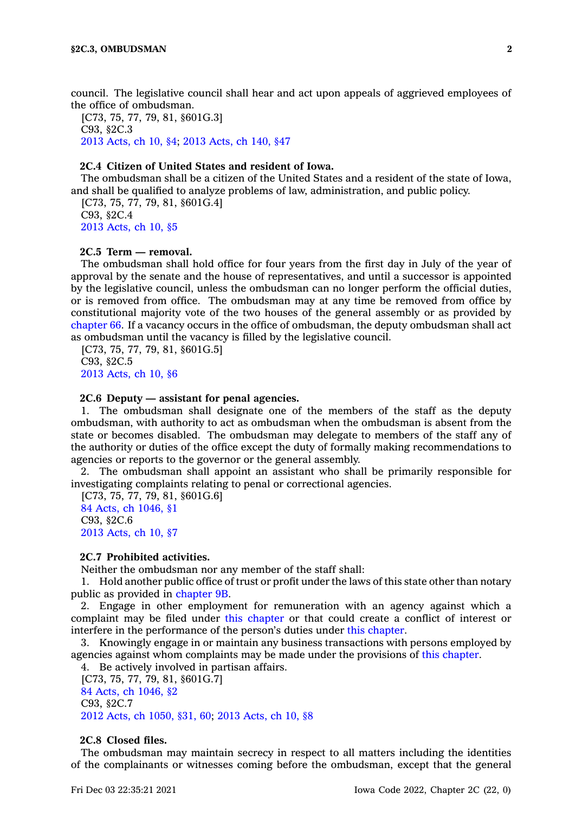council. The legislative council shall hear and act upon appeals of aggrieved employees of the office of ombudsman.

[C73, 75, 77, 79, 81, §601G.3] C93, §2C.3 2013 [Acts,](https://www.legis.iowa.gov/docs/acts/2013/CH0010.pdf) ch 10, §4; 2013 [Acts,](https://www.legis.iowa.gov/docs/acts/2013/CH0140.pdf) ch 140, §47

# **2C.4 Citizen of United States and resident of Iowa.**

The ombudsman shall be <sup>a</sup> citizen of the United States and <sup>a</sup> resident of the state of Iowa, and shall be qualified to analyze problems of law, administration, and public policy.

[C73, 75, 77, 79, 81, §601G.4] C93, §2C.4 2013 [Acts,](https://www.legis.iowa.gov/docs/acts/2013/CH0010.pdf) ch 10, §5

# **2C.5 Term — removal.**

The ombudsman shall hold office for four years from the first day in July of the year of approval by the senate and the house of representatives, and until <sup>a</sup> successor is appointed by the legislative council, unless the ombudsman can no longer perform the official duties, or is removed from office. The ombudsman may at any time be removed from office by constitutional majority vote of the two houses of the general assembly or as provided by [chapter](https://www.legis.iowa.gov/docs/code//66.pdf) 66. If <sup>a</sup> vacancy occurs in the office of ombudsman, the deputy ombudsman shall act as ombudsman until the vacancy is filled by the legislative council.

[C73, 75, 77, 79, 81, §601G.5] C93, §2C.5 2013 [Acts,](https://www.legis.iowa.gov/docs/acts/2013/CH0010.pdf) ch 10, §6

# **2C.6 Deputy — assistant for penal agencies.**

1. The ombudsman shall designate one of the members of the staff as the deputy ombudsman, with authority to act as ombudsman when the ombudsman is absent from the state or becomes disabled. The ombudsman may delegate to members of the staff any of the authority or duties of the office except the duty of formally making recommendations to agencies or reports to the governor or the general assembly.

2. The ombudsman shall appoint an assistant who shall be primarily responsible for investigating complaints relating to penal or correctional agencies.

[C73, 75, 77, 79, 81, §601G.6] 84 Acts, ch [1046,](https://www.legis.iowa.gov/docs/acts/1984/CH1046.pdf) §1 C93, §2C.6 2013 [Acts,](https://www.legis.iowa.gov/docs/acts/2013/CH0010.pdf) ch 10, §7

#### **2C.7 Prohibited activities.**

Neither the ombudsman nor any member of the staff shall:

1. Hold another public office of trust or profit under the laws of this state other than notary public as provided in [chapter](https://www.legis.iowa.gov/docs/code//9B.pdf) 9B.

2. Engage in other employment for remuneration with an agency against which <sup>a</sup> complaint may be filed under this [chapter](https://www.legis.iowa.gov/docs/code//2C.pdf) or that could create <sup>a</sup> conflict of interest or interfere in the performance of the person's duties under this [chapter](https://www.legis.iowa.gov/docs/code//2C.pdf).

3. Knowingly engage in or maintain any business transactions with persons employed by agencies against whom complaints may be made under the provisions of this [chapter](https://www.legis.iowa.gov/docs/code//2C.pdf).

4. Be actively involved in partisan affairs.

[C73, 75, 77, 79, 81, §601G.7] 84 Acts, ch [1046,](https://www.legis.iowa.gov/docs/acts/1984/CH1046.pdf) §2 C93, §2C.7 2012 Acts, ch [1050,](https://www.legis.iowa.gov/docs/acts/2012/CH1050.pdf) §31, 60; 2013 [Acts,](https://www.legis.iowa.gov/docs/acts/2013/CH0010.pdf) ch 10, §8

# **2C.8 Closed files.**

The ombudsman may maintain secrecy in respect to all matters including the identities of the complainants or witnesses coming before the ombudsman, except that the general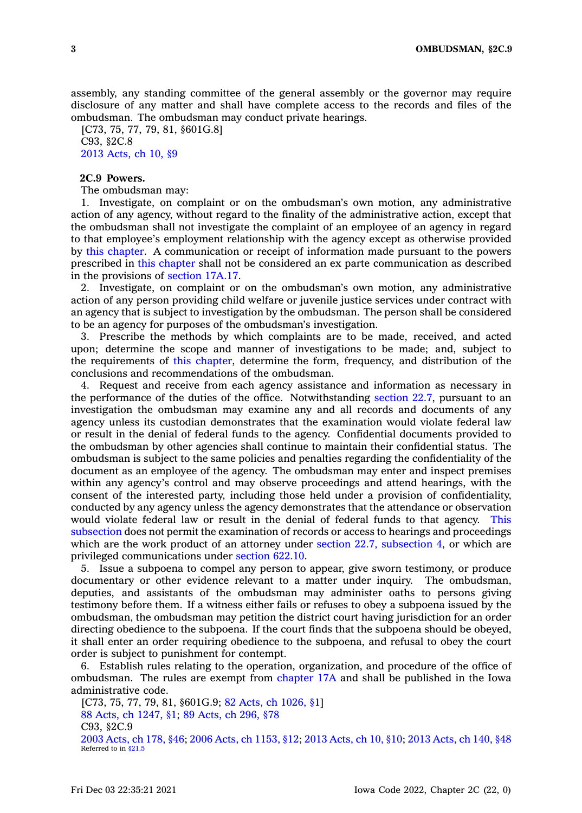assembly, any standing committee of the general assembly or the governor may require disclosure of any matter and shall have complete access to the records and files of the ombudsman. The ombudsman may conduct private hearings.

[C73, 75, 77, 79, 81, §601G.8] C93, §2C.8 2013 [Acts,](https://www.legis.iowa.gov/docs/acts/2013/CH0010.pdf) ch 10, §9

# **2C.9 Powers.**

The ombudsman may:

1. Investigate, on complaint or on the ombudsman's own motion, any administrative action of any agency, without regard to the finality of the administrative action, except that the ombudsman shall not investigate the complaint of an employee of an agency in regard to that employee's employment relationship with the agency except as otherwise provided by this [chapter](https://www.legis.iowa.gov/docs/code//2C.pdf). A communication or receipt of information made pursuant to the powers prescribed in this [chapter](https://www.legis.iowa.gov/docs/code//2C.pdf) shall not be considered an ex parte communication as described in the provisions of [section](https://www.legis.iowa.gov/docs/code/17A.17.pdf) 17A.17.

2. Investigate, on complaint or on the ombudsman's own motion, any administrative action of any person providing child welfare or juvenile justice services under contract with an agency that is subject to investigation by the ombudsman. The person shall be considered to be an agency for purposes of the ombudsman's investigation.

3. Prescribe the methods by which complaints are to be made, received, and acted upon; determine the scope and manner of investigations to be made; and, subject to the requirements of this [chapter](https://www.legis.iowa.gov/docs/code//2C.pdf), determine the form, frequency, and distribution of the conclusions and recommendations of the ombudsman.

4. Request and receive from each agency assistance and information as necessary in the performance of the duties of the office. Notwithstanding [section](https://www.legis.iowa.gov/docs/code/22.7.pdf) 22.7, pursuant to an investigation the ombudsman may examine any and all records and documents of any agency unless its custodian demonstrates that the examination would violate federal law or result in the denial of federal funds to the agency. Confidential documents provided to the ombudsman by other agencies shall continue to maintain their confidential status. The ombudsman is subject to the same policies and penalties regarding the confidentiality of the document as an employee of the agency. The ombudsman may enter and inspect premises within any agency's control and may observe proceedings and attend hearings, with the consent of the interested party, including those held under <sup>a</sup> provision of confidentiality, conducted by any agency unless the agency demonstrates that the attendance or observation would violate federal law or result in the denial of federal funds to that agency. [This](https://www.legis.iowa.gov/docs/code/2C.9.pdf) [subsection](https://www.legis.iowa.gov/docs/code/2C.9.pdf) does not permit the examination of records or access to hearings and proceedings which are the work product of an attorney under section 22.7, [subsection](https://www.legis.iowa.gov/docs/code/22.7.pdf) 4, or which are privileged communications under [section](https://www.legis.iowa.gov/docs/code/622.10.pdf) 622.10.

5. Issue <sup>a</sup> subpoena to compel any person to appear, give sworn testimony, or produce documentary or other evidence relevant to <sup>a</sup> matter under inquiry. The ombudsman, deputies, and assistants of the ombudsman may administer oaths to persons giving testimony before them. If <sup>a</sup> witness either fails or refuses to obey <sup>a</sup> subpoena issued by the ombudsman, the ombudsman may petition the district court having jurisdiction for an order directing obedience to the subpoena. If the court finds that the subpoena should be obeyed, it shall enter an order requiring obedience to the subpoena, and refusal to obey the court order is subject to punishment for contempt.

6. Establish rules relating to the operation, organization, and procedure of the office of ombudsman. The rules are exempt from [chapter](https://www.legis.iowa.gov/docs/code//17A.pdf) 17A and shall be published in the Iowa administrative code.

[C73, 75, 77, 79, 81, §601G.9; 82 Acts, ch [1026,](https://www.legis.iowa.gov/docs/acts/1982/CH1026.pdf) §1] 88 Acts, ch [1247,](https://www.legis.iowa.gov/docs/acts/1988/CH1247.pdf) §1; 89 [Acts,](https://www.legis.iowa.gov/docs/acts/89/CH0296.pdf) ch 296, §78 C93, §2C.9 2003 [Acts,](https://www.legis.iowa.gov/docs/acts/2003/CH0178.pdf) ch 178, §46; 2006 Acts, ch [1153,](https://www.legis.iowa.gov/docs/acts/2006/CH1153.pdf) §12; 2013 [Acts,](https://www.legis.iowa.gov/docs/acts/2013/CH0010.pdf) ch 10, §10; 2013 [Acts,](https://www.legis.iowa.gov/docs/acts/2013/CH0140.pdf) ch 140, §48 Referred to in [§21.5](https://www.legis.iowa.gov/docs/code/21.5.pdf)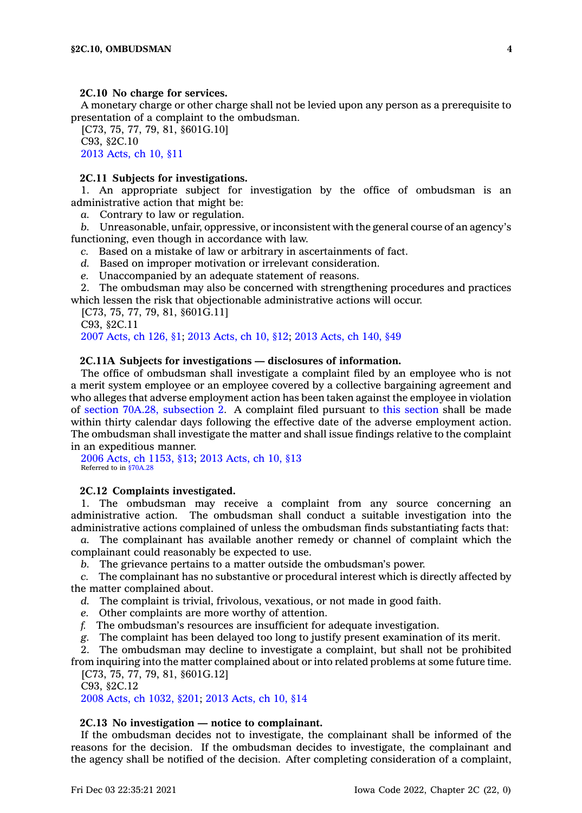#### **2C.10 No charge for services.**

A monetary charge or other charge shall not be levied upon any person as <sup>a</sup> prerequisite to presentation of <sup>a</sup> complaint to the ombudsman.

[C73, 75, 77, 79, 81, §601G.10] C93, §2C.10 2013 [Acts,](https://www.legis.iowa.gov/docs/acts/2013/CH0010.pdf) ch 10, §11

#### **2C.11 Subjects for investigations.**

1. An appropriate subject for investigation by the office of ombudsman is an administrative action that might be:

*a.* Contrary to law or regulation.

*b.* Unreasonable, unfair, oppressive, or inconsistent with the general course of an agency's functioning, even though in accordance with law.

- *c.* Based on <sup>a</sup> mistake of law or arbitrary in ascertainments of fact.
- *d.* Based on improper motivation or irrelevant consideration.
- *e.* Unaccompanied by an adequate statement of reasons.

2. The ombudsman may also be concerned with strengthening procedures and practices which lessen the risk that objectionable administrative actions will occur.

[C73, 75, 77, 79, 81, §601G.11]

C93, §2C.11 2007 [Acts,](https://www.legis.iowa.gov/docs/acts/2007/CH0126.pdf) ch 126, §1; 2013 [Acts,](https://www.legis.iowa.gov/docs/acts/2013/CH0010.pdf) ch 10, §12; 2013 [Acts,](https://www.legis.iowa.gov/docs/acts/2013/CH0140.pdf) ch 140, §49

### **2C.11A Subjects for investigations — disclosures of information.**

The office of ombudsman shall investigate <sup>a</sup> complaint filed by an employee who is not <sup>a</sup> merit system employee or an employee covered by <sup>a</sup> collective bargaining agreement and who alleges that adverse employment action has been taken against the employee in violation of section 70A.28, [subsection](https://www.legis.iowa.gov/docs/code/70A.28.pdf) 2. A complaint filed pursuant to this [section](https://www.legis.iowa.gov/docs/code/2C.11A.pdf) shall be made within thirty calendar days following the effective date of the adverse employment action. The ombudsman shall investigate the matter and shall issue findings relative to the complaint in an expeditious manner.

2006 Acts, ch [1153,](https://www.legis.iowa.gov/docs/acts/2006/CH1153.pdf) §13; 2013 [Acts,](https://www.legis.iowa.gov/docs/acts/2013/CH0010.pdf) ch 10, §13 Referred to in [§70A.28](https://www.legis.iowa.gov/docs/code/70A.28.pdf)

# **2C.12 Complaints investigated.**

1. The ombudsman may receive <sup>a</sup> complaint from any source concerning an administrative action. The ombudsman shall conduct <sup>a</sup> suitable investigation into the administrative actions complained of unless the ombudsman finds substantiating facts that:

*a.* The complainant has available another remedy or channel of complaint which the complainant could reasonably be expected to use.

*b.* The grievance pertains to <sup>a</sup> matter outside the ombudsman's power.

*c.* The complainant has no substantive or procedural interest which is directly affected by the matter complained about.

*d.* The complaint is trivial, frivolous, vexatious, or not made in good faith.

- *e.* Other complaints are more worthy of attention.
- *f.* The ombudsman's resources are insufficient for adequate investigation.

*g.* The complaint has been delayed too long to justify present examination of its merit.

2. The ombudsman may decline to investigate <sup>a</sup> complaint, but shall not be prohibited from inquiring into the matter complained about or into related problems at some future time.

[C73, 75, 77, 79, 81, §601G.12]

C93, §2C.12

2008 Acts, ch [1032,](https://www.legis.iowa.gov/docs/acts/2008/CH1032.pdf) §201; 2013 [Acts,](https://www.legis.iowa.gov/docs/acts/2013/CH0010.pdf) ch 10, §14

### **2C.13 No investigation — notice to complainant.**

If the ombudsman decides not to investigate, the complainant shall be informed of the reasons for the decision. If the ombudsman decides to investigate, the complainant and the agency shall be notified of the decision. After completing consideration of <sup>a</sup> complaint,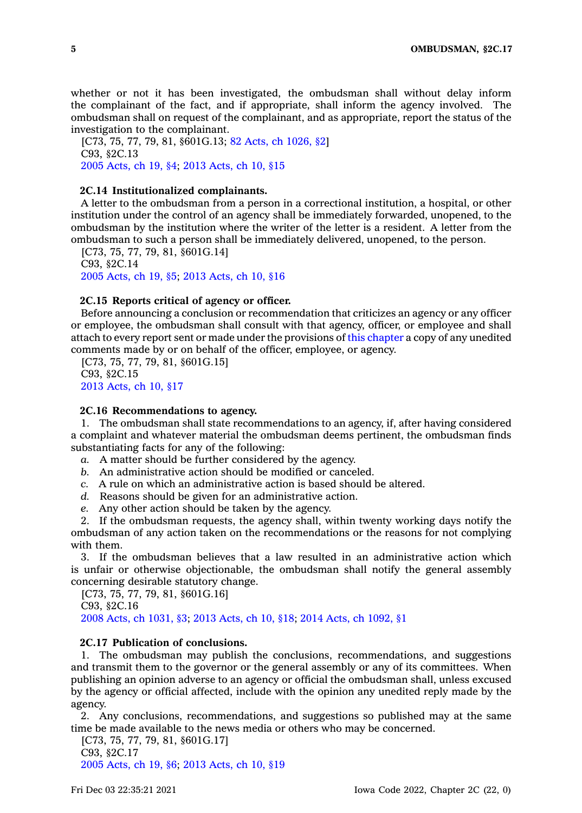whether or not it has been investigated, the ombudsman shall without delay inform the complainant of the fact, and if appropriate, shall inform the agency involved. The ombudsman shall on request of the complainant, and as appropriate, report the status of the investigation to the complainant.

[C73, 75, 77, 79, 81, §601G.13; 82 Acts, ch [1026,](https://www.legis.iowa.gov/docs/acts/1982/CH1026.pdf) §2] C93, §2C.13 2005 [Acts,](https://www.legis.iowa.gov/docs/acts/2005/CH0019.pdf) ch 19, §4; 2013 [Acts,](https://www.legis.iowa.gov/docs/acts/2013/CH0010.pdf) ch 10, §15

# **2C.14 Institutionalized complainants.**

A letter to the ombudsman from <sup>a</sup> person in <sup>a</sup> correctional institution, <sup>a</sup> hospital, or other institution under the control of an agency shall be immediately forwarded, unopened, to the ombudsman by the institution where the writer of the letter is <sup>a</sup> resident. A letter from the ombudsman to such <sup>a</sup> person shall be immediately delivered, unopened, to the person.

[C73, 75, 77, 79, 81, §601G.14] C93, §2C.14 2005 [Acts,](https://www.legis.iowa.gov/docs/acts/2005/CH0019.pdf) ch 19, §5; 2013 [Acts,](https://www.legis.iowa.gov/docs/acts/2013/CH0010.pdf) ch 10, §16

#### **2C.15 Reports critical of agency or officer.**

Before announcing <sup>a</sup> conclusion or recommendation that criticizes an agency or any officer or employee, the ombudsman shall consult with that agency, officer, or employee and shall attach to every report sent or made under the provisions of this [chapter](https://www.legis.iowa.gov/docs/code//2C.pdf) <sup>a</sup> copy of any unedited comments made by or on behalf of the officer, employee, or agency.

[C73, 75, 77, 79, 81, §601G.15] C93, §2C.15 2013 [Acts,](https://www.legis.iowa.gov/docs/acts/2013/CH0010.pdf) ch 10, §17

### **2C.16 Recommendations to agency.**

1. The ombudsman shall state recommendations to an agency, if, after having considered <sup>a</sup> complaint and whatever material the ombudsman deems pertinent, the ombudsman finds substantiating facts for any of the following:

- *a.* A matter should be further considered by the agency.
- *b.* An administrative action should be modified or canceled.
- *c.* A rule on which an administrative action is based should be altered.
- *d.* Reasons should be given for an administrative action.
- *e.* Any other action should be taken by the agency.

2. If the ombudsman requests, the agency shall, within twenty working days notify the ombudsman of any action taken on the recommendations or the reasons for not complying with them.

3. If the ombudsman believes that <sup>a</sup> law resulted in an administrative action which is unfair or otherwise objectionable, the ombudsman shall notify the general assembly concerning desirable statutory change.

[C73, 75, 77, 79, 81, §601G.16] C93, §2C.16

2008 Acts, ch [1031,](https://www.legis.iowa.gov/docs/acts/2008/CH1031.pdf) §3; 2013 [Acts,](https://www.legis.iowa.gov/docs/acts/2013/CH0010.pdf) ch 10, §18; 2014 Acts, ch [1092,](https://www.legis.iowa.gov/docs/acts/2014/CH1092.pdf) §1

# **2C.17 Publication of conclusions.**

1. The ombudsman may publish the conclusions, recommendations, and suggestions and transmit them to the governor or the general assembly or any of its committees. When publishing an opinion adverse to an agency or official the ombudsman shall, unless excused by the agency or official affected, include with the opinion any unedited reply made by the agency.

2. Any conclusions, recommendations, and suggestions so published may at the same time be made available to the news media or others who may be concerned.

[C73, 75, 77, 79, 81, §601G.17] C93, §2C.17 2005 [Acts,](https://www.legis.iowa.gov/docs/acts/2005/CH0019.pdf) ch 19, §6; 2013 [Acts,](https://www.legis.iowa.gov/docs/acts/2013/CH0010.pdf) ch 10, §19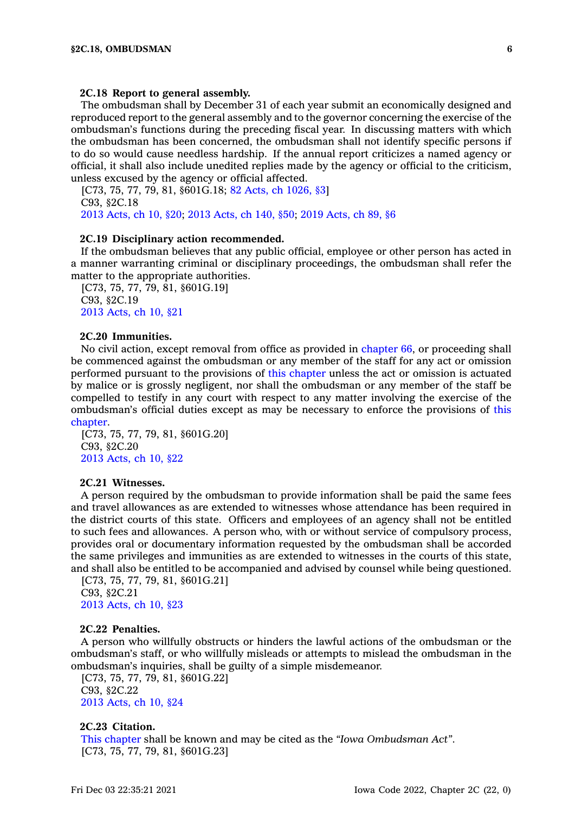#### **2C.18 Report to general assembly.**

The ombudsman shall by December 31 of each year submit an economically designed and reproduced report to the general assembly and to the governor concerning the exercise of the ombudsman's functions during the preceding fiscal year. In discussing matters with which the ombudsman has been concerned, the ombudsman shall not identify specific persons if to do so would cause needless hardship. If the annual report criticizes <sup>a</sup> named agency or official, it shall also include unedited replies made by the agency or official to the criticism, unless excused by the agency or official affected.

[C73, 75, 77, 79, 81, §601G.18; 82 Acts, ch [1026,](https://www.legis.iowa.gov/docs/acts/1982/CH1026.pdf) §3] C93, §2C.18 2013 [Acts,](https://www.legis.iowa.gov/docs/acts/2013/CH0010.pdf) ch 10, §20; 2013 [Acts,](https://www.legis.iowa.gov/docs/acts/2013/CH0140.pdf) ch 140, §50; 2019 [Acts,](https://www.legis.iowa.gov/docs/acts/2019/CH0089.pdf) ch 89, §6

# **2C.19 Disciplinary action recommended.**

If the ombudsman believes that any public official, employee or other person has acted in <sup>a</sup> manner warranting criminal or disciplinary proceedings, the ombudsman shall refer the matter to the appropriate authorities.

[C73, 75, 77, 79, 81, §601G.19] C93, §2C.19 2013 [Acts,](https://www.legis.iowa.gov/docs/acts/2013/CH0010.pdf) ch 10, §21

# **2C.20 Immunities.**

No civil action, except removal from office as provided in [chapter](https://www.legis.iowa.gov/docs/code//66.pdf) 66, or proceeding shall be commenced against the ombudsman or any member of the staff for any act or omission performed pursuant to the provisions of this [chapter](https://www.legis.iowa.gov/docs/code//2C.pdf) unless the act or omission is actuated by malice or is grossly negligent, nor shall the ombudsman or any member of the staff be compelled to testify in any court with respect to any matter involving the exercise of the ombudsman's official duties except as may be necessary to enforce the provisions of [this](https://www.legis.iowa.gov/docs/code//2C.pdf) [chapter](https://www.legis.iowa.gov/docs/code//2C.pdf).

[C73, 75, 77, 79, 81, §601G.20] C93, §2C.20 2013 [Acts,](https://www.legis.iowa.gov/docs/acts/2013/CH0010.pdf) ch 10, §22

### **2C.21 Witnesses.**

A person required by the ombudsman to provide information shall be paid the same fees and travel allowances as are extended to witnesses whose attendance has been required in the district courts of this state. Officers and employees of an agency shall not be entitled to such fees and allowances. A person who, with or without service of compulsory process, provides oral or documentary information requested by the ombudsman shall be accorded the same privileges and immunities as are extended to witnesses in the courts of this state, and shall also be entitled to be accompanied and advised by counsel while being questioned.

[C73, 75, 77, 79, 81, §601G.21] C93, §2C.21 2013 [Acts,](https://www.legis.iowa.gov/docs/acts/2013/CH0010.pdf) ch 10, §23

#### **2C.22 Penalties.**

A person who willfully obstructs or hinders the lawful actions of the ombudsman or the ombudsman's staff, or who willfully misleads or attempts to mislead the ombudsman in the ombudsman's inquiries, shall be guilty of <sup>a</sup> simple misdemeanor.

[C73, 75, 77, 79, 81, §601G.22] C93, §2C.22 2013 [Acts,](https://www.legis.iowa.gov/docs/acts/2013/CH0010.pdf) ch 10, §24

#### **2C.23 Citation.**

This [chapter](https://www.legis.iowa.gov/docs/code//2C.pdf) shall be known and may be cited as the *"Iowa Ombudsman Act"*. [C73, 75, 77, 79, 81, §601G.23]